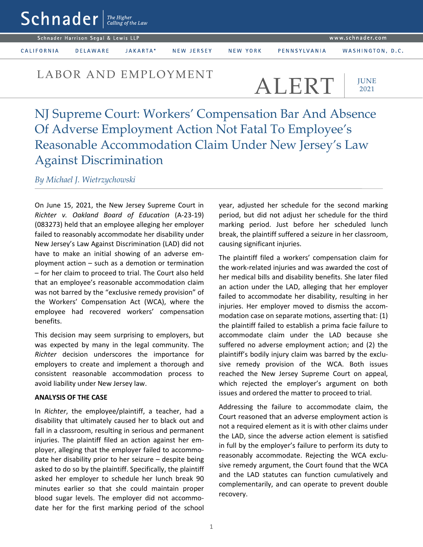| $Schnader$ $\left  \begin{smallmatrix} \text{The Higher} \end{smallmatrix} \right $ $\left. \begin{smallmatrix} \text{The Higher} \end{smallmatrix} \right $ |                 |          |            |          |                  |                  |
|--------------------------------------------------------------------------------------------------------------------------------------------------------------|-----------------|----------|------------|----------|------------------|------------------|
| Schnader Harrison Segal & Lewis LLP                                                                                                                          |                 |          |            |          | www.schnader.com |                  |
| CALIFORNIA                                                                                                                                                   | <b>DELAWARE</b> | JAKARTA* | NEW JERSEY | NEW YORK | PENNSYLVANIA     | WASHINGTON, D.C. |

## LABOR AND EMPLOYMENT  $ALERT$

**IUNE** 2021

NJ Supreme Court: Workers' Compensation Bar And Absence Of Adverse Employment Action Not Fatal To Employee's Reasonable Accommodation Claim Under New Jersey's Law Against Discrimination

*By Michael J. Wietrzychowski*

On June 15, 2021, the New Jersey Supreme Court in *Richter v. Oakland Board of Education* (A-23-19) (083273) held that an employee alleging her employer failed to reasonably accommodate her disability under New Jersey's Law Against Discrimination (LAD) did not have to make an initial showing of an adverse employment action – such as a demotion or termination – for her claim to proceed to trial. The Court also held that an employee's reasonable accommodation claim was not barred by the "exclusive remedy provision" of the Workers' Compensation Act (WCA), where the employee had recovered workers' compensation benefits.

This decision may seem surprising to employers, but was expected by many in the legal community. The *Richter* decision underscores the importance for employers to create and implement a thorough and consistent reasonable accommodation process to avoid liability under New Jersey law.

## **ANALYSIS OF THE CASE**

In *Richter*, the employee/plaintiff, a teacher, had a disability that ultimately caused her to black out and fall in a classroom, resulting in serious and permanent injuries. The plaintiff filed an action against her employer, alleging that the employer failed to accommodate her disability prior to her seizure – despite being asked to do so by the plaintiff. Specifically, the plaintiff asked her employer to schedule her lunch break 90 minutes earlier so that she could maintain proper blood sugar levels. The employer did not accommodate her for the first marking period of the school

year, adjusted her schedule for the second marking period, but did not adjust her schedule for the third marking period. Just before her scheduled lunch break, the plaintiff suffered a seizure in her classroom, causing significant injuries.

The plaintiff filed a workers' compensation claim for the work-related injuries and was awarded the cost of her medical bills and disability benefits. She later filed an action under the LAD, alleging that her employer failed to accommodate her disability, resulting in her injuries. Her employer moved to dismiss the accommodation case on separate motions, asserting that: (1) the plaintiff failed to establish a prima facie failure to accommodate claim under the LAD because she suffered no adverse employment action; and (2) the plaintiff's bodily injury claim was barred by the exclusive remedy provision of the WCA. Both issues reached the New Jersey Supreme Court on appeal, which rejected the employer's argument on both issues and ordered the matter to proceed to trial.

Addressing the failure to accommodate claim, the Court reasoned that an adverse employment action is not a required element as it is with other claims under the LAD, since the adverse action element is satisfied in full by the employer's failure to perform its duty to reasonably accommodate. Rejecting the WCA exclusive remedy argument, the Court found that the WCA and the LAD statutes can function cumulatively and complementarily, and can operate to prevent double recovery.